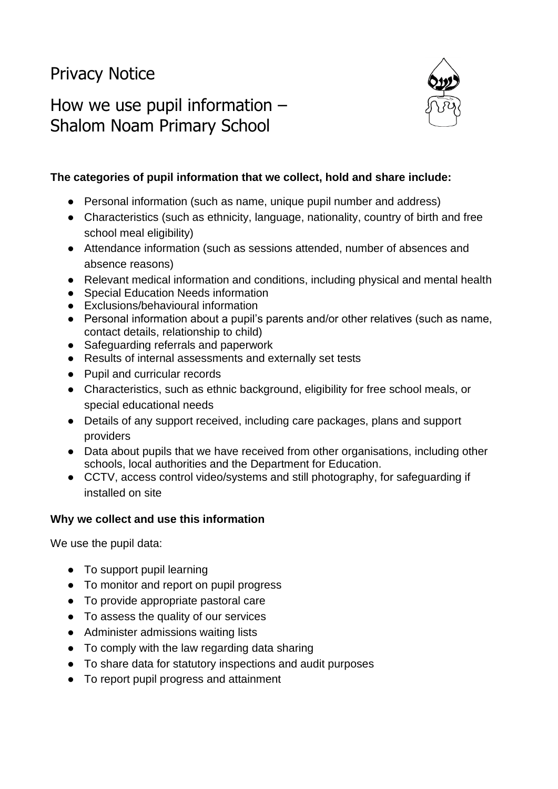# Privacy Notice

# How we use pupil information – Shalom Noam Primary School



### **The categories of pupil information that we collect, hold and share include:**

- Personal information (such as name, unique pupil number and address)
- Characteristics (such as ethnicity, language, nationality, country of birth and free school meal eligibility)
- Attendance information (such as sessions attended, number of absences and absence reasons)
- Relevant medical information and conditions, including physical and mental health
- Special Education Needs information
- Exclusions/behavioural information
- Personal information about a pupil's parents and/or other relatives (such as name, contact details, relationship to child)
- Safeguarding referrals and paperwork
- Results of internal assessments and externally set tests
- Pupil and curricular records
- Characteristics, such as ethnic background, eligibility for free school meals, or special educational needs
- Details of any support received, including care packages, plans and support providers
- Data about pupils that we have received from other organisations, including other schools, local authorities and the Department for Education.
- CCTV, access control video/systems and still photography, for safeguarding if installed on site

#### **Why we collect and use this information**

We use the pupil data:

- To support pupil learning
- To monitor and report on pupil progress
- To provide appropriate pastoral care
- To assess the quality of our services
- Administer admissions waiting lists
- To comply with the law regarding data sharing
- To share data for statutory inspections and audit purposes
- To report pupil progress and attainment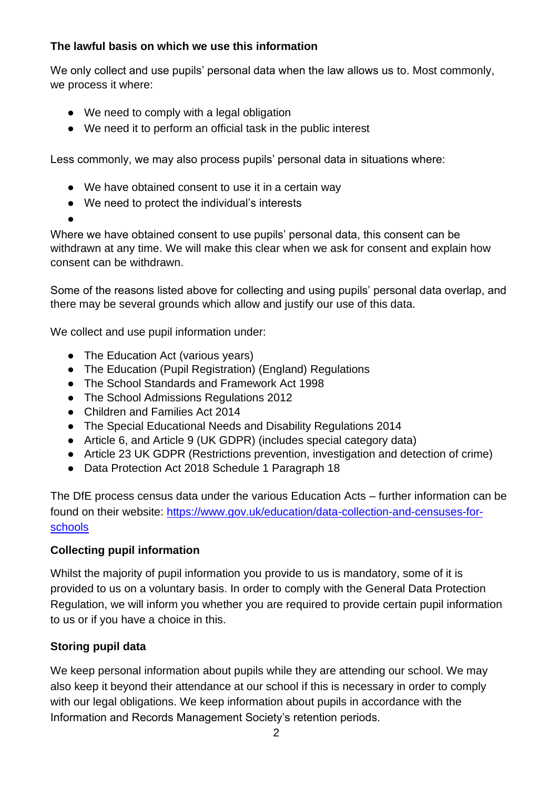## **The lawful basis on which we use this information**

We only collect and use pupils' personal data when the law allows us to. Most commonly, we process it where:

- We need to comply with a legal obligation
- We need it to perform an official task in the public interest

Less commonly, we may also process pupils' personal data in situations where:

- We have obtained consent to use it in a certain way
- We need to protect the individual's interests

●

Where we have obtained consent to use pupils' personal data, this consent can be withdrawn at any time. We will make this clear when we ask for consent and explain how consent can be withdrawn.

Some of the reasons listed above for collecting and using pupils' personal data overlap, and there may be several grounds which allow and justify our use of this data.

We collect and use pupil information under:

- The Education Act (various vears)
- The Education (Pupil Registration) (England) Regulations
- The School Standards and Framework Act 1998
- The School Admissions Regulations 2012
- Children and Families Act 2014
- The Special Educational Needs and Disability Regulations 2014
- Article 6, and Article 9 (UK GDPR) (includes special category data)
- Article 23 UK GDPR (Restrictions prevention, investigation and detection of crime)
- Data Protection Act 2018 Schedule 1 Paragraph 18

The DfE process census data under the various Education Acts – further information can be found on their website: [https://www.gov.uk/education/data-collection-and-censuses-for](https://www.gov.uk/education/data-collection-and-censuses-for-schools)[schools](https://www.gov.uk/education/data-collection-and-censuses-for-schools)

#### **Collecting pupil information**

Whilst the majority of pupil information you provide to us is mandatory, some of it is provided to us on a voluntary basis. In order to comply with the General Data Protection Regulation, we will inform you whether you are required to provide certain pupil information to us or if you have a choice in this.

# **Storing pupil data**

We keep personal information about pupils while they are attending our school. We may also keep it beyond their attendance at our school if this is necessary in order to comply with our legal obligations. We keep information about pupils in accordance with the Information and Records Management Society's retention periods.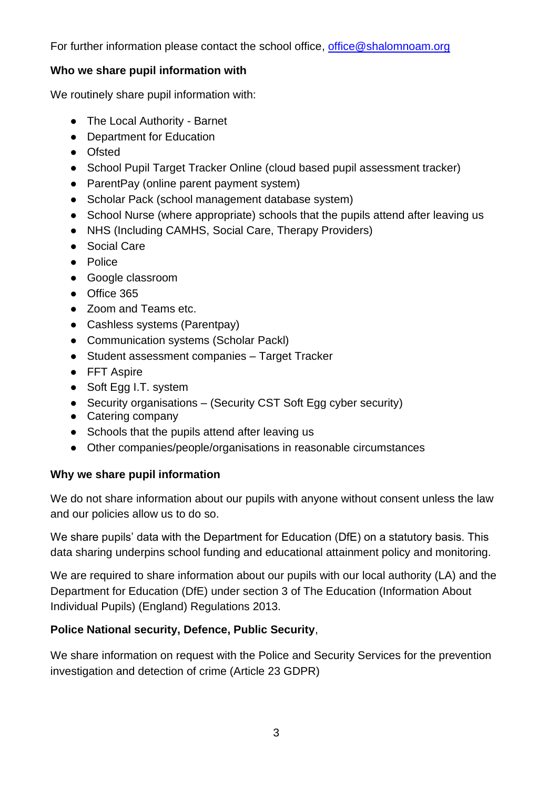For further information please contact the school office, [office@shalomnoam.org](mailto:office@shalomnoam.org)

### **Who we share pupil information with**

We routinely share pupil information with:

- The Local Authority Barnet
- Department for Education
- Ofsted
- School Pupil Target Tracker Online (cloud based pupil assessment tracker)
- ParentPay (online parent payment system)
- Scholar Pack (school management database system)
- School Nurse (where appropriate) schools that the pupils attend after leaving us
- NHS (Including CAMHS, Social Care, Therapy Providers)
- Social Care
- Police
- Google classroom
- Office 365
- Zoom and Teams etc.
- Cashless systems (Parentpay)
- Communication systems (Scholar Packl)
- Student assessment companies Target Tracker
- FFT Aspire
- Soft Egg I.T. system
- Security organisations (Security CST Soft Egg cyber security)
- Catering company
- Schools that the pupils attend after leaving us
- Other companies/people/organisations in reasonable circumstances

# **Why we share pupil information**

We do not share information about our pupils with anyone without consent unless the law and our policies allow us to do so.

We share pupils' data with the Department for Education (DfE) on a statutory basis. This data sharing underpins school funding and educational attainment policy and monitoring.

We are required to share information about our pupils with our local authority (LA) and the Department for Education (DfE) under section 3 of The Education (Information About Individual Pupils) (England) Regulations 2013.

# **Police National security, Defence, Public Security**,

We share information on request with the Police and Security Services for the prevention investigation and detection of crime (Article 23 GDPR)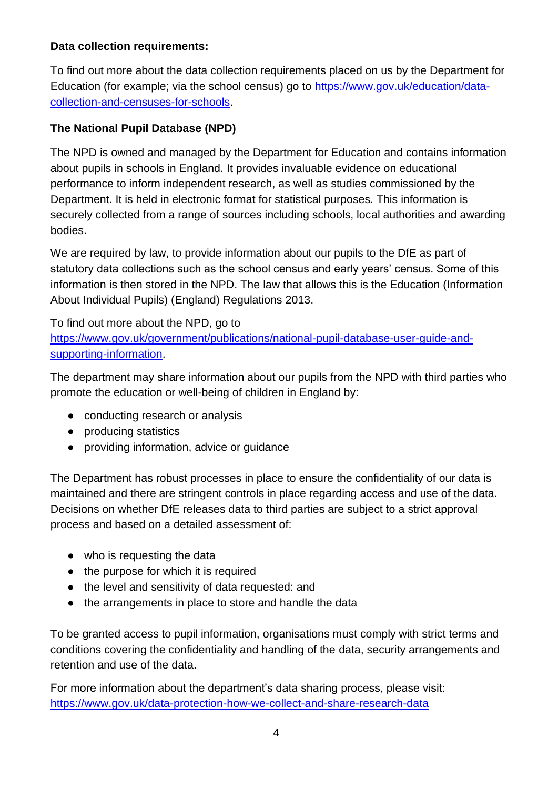# **Data collection requirements:**

To find out more about the data collection requirements placed on us by the Department for Education (for example; via the school census) go to [https://www.gov.uk/education/data](https://www.gov.uk/education/data-collection-and-censuses-for-schools)[collection-and-censuses-for-schools.](https://www.gov.uk/education/data-collection-and-censuses-for-schools)

## **The National Pupil Database (NPD)**

The NPD is owned and managed by the Department for Education and contains information about pupils in schools in England. It provides invaluable evidence on educational performance to inform independent research, as well as studies commissioned by the Department. It is held in electronic format for statistical purposes. This information is securely collected from a range of sources including schools, local authorities and awarding bodies.

We are required by law, to provide information about our pupils to the DfE as part of statutory data collections such as the school census and early years' census. Some of this information is then stored in the NPD. The law that allows this is the Education (Information About Individual Pupils) (England) Regulations 2013.

To find out more about the NPD, go to [https://www.gov.uk/government/publications/national-pupil-database-user-guide-and](https://www.gov.uk/government/publications/national-pupil-database-user-guide-and-supporting-information)[supporting-information.](https://www.gov.uk/government/publications/national-pupil-database-user-guide-and-supporting-information)

The department may share information about our pupils from the NPD with third parties who promote the education or well-being of children in England by:

- conducting research or analysis
- producing statistics
- providing information, advice or guidance

The Department has robust processes in place to ensure the confidentiality of our data is maintained and there are stringent controls in place regarding access and use of the data. Decisions on whether DfE releases data to third parties are subject to a strict approval process and based on a detailed assessment of:

- who is requesting the data
- the purpose for which it is required
- the level and sensitivity of data requested: and
- the arrangements in place to store and handle the data

To be granted access to pupil information, organisations must comply with strict terms and conditions covering the confidentiality and handling of the data, security arrangements and retention and use of the data.

For more information about the department's data sharing process, please visit: <https://www.gov.uk/data-protection-how-we-collect-and-share-research-data>